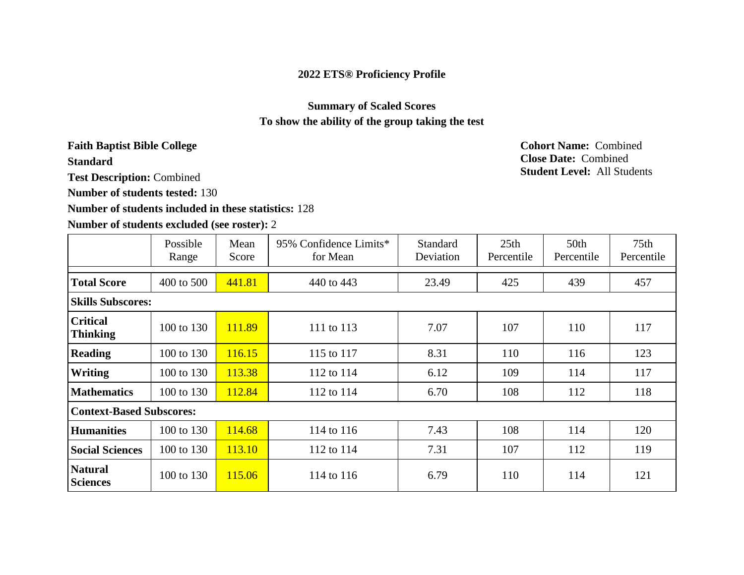### **2022 ETS® Proficiency Profile**

## **Summary of Scaled Scores To show the ability of the group taking the test**

# **Faith Baptist Bible College Cohort Name:** Combined

**Standard**

**Test Description:** Combined

**Number of students tested:** 130

#### **Number of students included in these statistics:** 128

#### **Number of students excluded (see roster):** 2

**Close Date:** Combined **Student Level:** All Students

|                                    | Possible<br>Range | Mean<br>Score | 95% Confidence Limits*<br>for Mean | <b>Standard</b><br>Deviation | 25 <sub>th</sub><br>Percentile | 50 <sub>th</sub><br>Percentile | 75 <sub>th</sub><br>Percentile |
|------------------------------------|-------------------|---------------|------------------------------------|------------------------------|--------------------------------|--------------------------------|--------------------------------|
| <b>Total Score</b>                 | 400 to 500        | 441.81        | 440 to 443                         | 23.49                        | 425                            | 439                            | 457                            |
| <b>Skills Subscores:</b>           |                   |               |                                    |                              |                                |                                |                                |
| <b>Critical</b><br><b>Thinking</b> | 100 to 130        | 111.89        | 111 to 113                         | 7.07                         | 107                            | 110                            | 117                            |
| <b>Reading</b>                     | 100 to 130        | 116.15        | 115 to 117                         | 8.31                         | 110                            | 116                            | 123                            |
| <b>Writing</b>                     | 100 to 130        | 113.38        | 112 to 114                         | 6.12                         | 109                            | 114                            | 117                            |
| <b>Mathematics</b>                 | 100 to 130        | 112.84        | 112 to 114                         | 6.70                         | 108                            | 112                            | 118                            |
| <b>Context-Based Subscores:</b>    |                   |               |                                    |                              |                                |                                |                                |
| <b>Humanities</b>                  | 100 to 130        | 114.68        | 114 to 116                         | 7.43                         | 108                            | 114                            | 120                            |
| <b>Social Sciences</b>             | 100 to 130        | 113.10        | 112 to 114                         | 7.31                         | 107                            | 112                            | 119                            |
| <b>Natural</b><br><b>Sciences</b>  | 100 to 130        | 115.06        | 114 to 116                         | 6.79                         | 110                            | 114                            | 121                            |